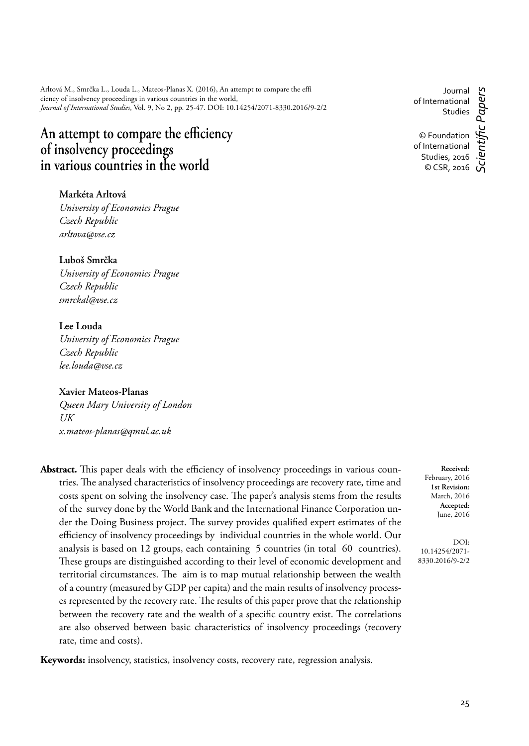Arltová M., Smrčka L., Louda L., Mateos-Planas X. (2016), An attempt to compare the effi ciency of insolvency proceedings in various countries in the world, *Journal of International Studies*, Vol. 9, No 2, pp. 25-47. DOI: 10.14254/2071-8330.2016/9-2/2

# An attempt to compare the efficiency of insolvency proceedings **in various countries in the world**

**Markéta Arltová** *University of Economics Prague Czech Republic arltova@vse.cz*

**Luboš Smrčka** *University of Economics Prague Czech Republic smrckal@vse.cz*

## **Lee Louda**

*University of Economics Prague Czech Republic lee.louda@vse.cz*

## **Xavier Mateos-Planas**

*Queen Mary University of London UK x.mateos-planas@qmul.ac.uk*

**Abstract.** This paper deals with the efficiency of insolvency proceedings in various countries. The analysed characteristics of insolvency proceedings are recovery rate, time and costs spent on solving the insolvency case. The paper's analysis stems from the results of the survey done by the World Bank and the International Finance Corporation under the Doing Business project. The survey provides qualified expert estimates of the efficiency of insolvency proceedings by individual countries in the whole world. Our analysis is based on 12 groups, each containing 5 countries (in total 60 countries). These groups are distinguished according to their level of economic development and territorial circumstances. The aim is to map mutual relationship between the wealth of a country (measured by GDP per capita) and the main results of insolvency processes represented by the recovery rate. The results of this paper prove that the relationship between the recovery rate and the wealth of a specific country exist. The correlations are also observed between basic characteristics of insolvency proceedings (recovery rate, time and costs).

**Keywords:** insolvency, statistics, insolvency costs, recovery rate, regression analysis.

Journal of International Studies

© Foundation of International Studies, 2016 © CSR, 2016

*Scientifi c Papers*

**Received**: February, 2016 **1st Revision:** March, 2016 **Accepted:** June, 2016

DOI: 10.14254/2071- 8330.2016/9-2/2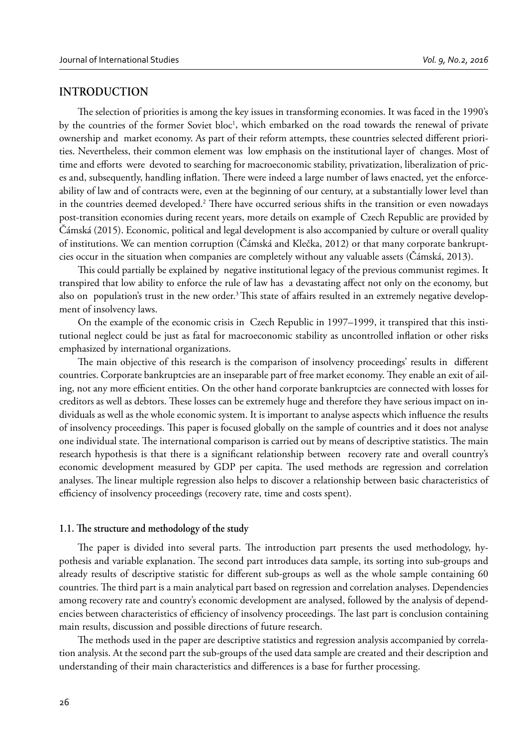#### **INTRODUCTION**

The selection of priorities is among the key issues in transforming economies. It was faced in the 1990's by the countries of the former Soviet bloc<sup>1</sup>, which embarked on the road towards the renewal of private ownership and market economy. As part of their reform attempts, these countries selected different priorities. Nevertheless, their common element was low emphasis on the institutional layer of changes. Most of time and efforts were devoted to searching for macroeconomic stability, privatization, liberalization of prices and, subsequently, handling inflation. There were indeed a large number of laws enacted, yet the enforceability of law and of contracts were, even at the beginning of our century, at a substantially lower level than in the countries deemed developed.<sup>2</sup> There have occurred serious shifts in the transition or even nowadays post-transition economies during recent years, more details on example of Czech Republic are provided by Čámská (2015). Economic, political and legal development is also accompanied by culture or overall quality of institutions. We can mention corruption (Čámská and Klečka, 2012) or that many corporate bankruptcies occur in the situation when companies are completely without any valuable assets (Čámská, 2013).

This could partially be explained by negative institutional legacy of the previous communist regimes. It transpired that low ability to enforce the rule of law has a devastating affect not only on the economy, but also on population's trust in the new order.<sup>3</sup> This state of affairs resulted in an extremely negative development of insolvency laws.

On the example of the economic crisis in Czech Republic in 1997–1999, it transpired that this institutional neglect could be just as fatal for macroeconomic stability as uncontrolled inflation or other risks emphasized by international organizations.

The main objective of this research is the comparison of insolvency proceedings' results in different countries. Corporate bankruptcies are an inseparable part of free market economy. They enable an exit of ailing, not any more efficient entities. On the other hand corporate bankruptcies are connected with losses for creditors as well as debtors. These losses can be extremely huge and therefore they have serious impact on individuals as well as the whole economic system. It is important to analyse aspects which influence the results of insolvency proceedings. This paper is focused globally on the sample of countries and it does not analyse one individual state. The international comparison is carried out by means of descriptive statistics. The main research hypothesis is that there is a significant relationship between recovery rate and overall country's economic development measured by GDP per capita. The used methods are regression and correlation analyses. The linear multiple regression also helps to discover a relationship between basic characteristics of efficiency of insolvency proceedings (recovery rate, time and costs spent).

#### 1.1. The structure and methodology of the study

The paper is divided into several parts. The introduction part presents the used methodology, hypothesis and variable explanation. The second part introduces data sample, its sorting into sub-groups and already results of descriptive statistic for different sub-groups as well as the whole sample containing 60 countries. The third part is a main analytical part based on regression and correlation analyses. Dependencies among recovery rate and country's economic development are analysed, followed by the analysis of dependencies between characteristics of efficiency of insolvency proceedings. The last part is conclusion containing main results, discussion and possible directions of future research.

The methods used in the paper are descriptive statistics and regression analysis accompanied by correlation analysis. At the second part the sub-groups of the used data sample are created and their description and understanding of their main characteristics and differences is a base for further processing.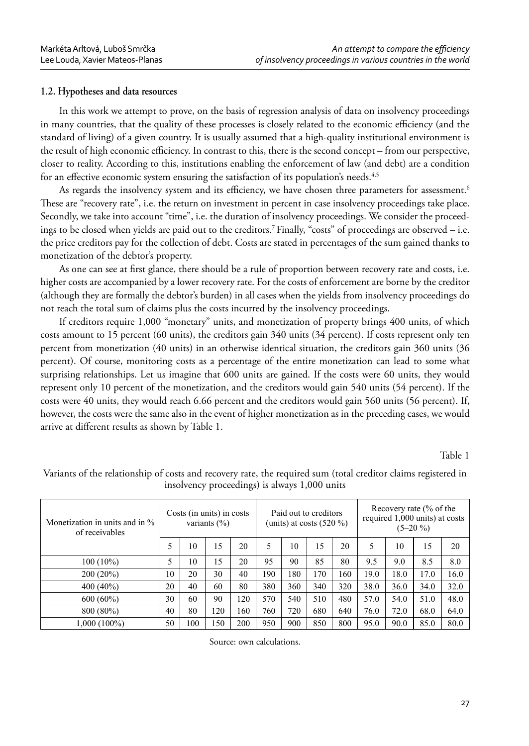## **1.2. Hypotheses and data resources**

In this work we attempt to prove, on the basis of regression analysis of data on insolvency proceedings in many countries, that the quality of these processes is closely related to the economic efficiency (and the standard of living) of a given country. It is usually assumed that a high-quality institutional environment is the result of high economic efficiency. In contrast to this, there is the second concept – from our perspective, closer to reality. According to this, institutions enabling the enforcement of law (and debt) are a condition for an effective economic system ensuring the satisfaction of its population's needs.<sup>4,5</sup>

As regards the insolvency system and its efficiency, we have chosen three parameters for assessment.<sup>6</sup> These are "recovery rate", i.e. the return on investment in percent in case insolvency proceedings take place. Secondly, we take into account "time", i.e. the duration of insolvency proceedings. We consider the proceedings to be closed when yields are paid out to the creditors.7 Finally, "costs" of proceedings are observed – i.e. the price creditors pay for the collection of debt. Costs are stated in percentages of the sum gained thanks to monetization of the debtor's property.

As one can see at first glance, there should be a rule of proportion between recovery rate and costs, i.e. higher costs are accompanied by a lower recovery rate. For the costs of enforcement are borne by the creditor (although they are formally the debtor's burden) in all cases when the yields from insolvency proceedings do not reach the total sum of claims plus the costs incurred by the insolvency proceedings.

If creditors require 1,000 "monetary" units, and monetization of property brings 400 units, of which costs amount to 15 percent (60 units), the creditors gain 340 units (34 percent). If costs represent only ten percent from monetization (40 units) in an otherwise identical situation, the creditors gain 360 units (36 percent). Of course, monitoring costs as a percentage of the entire monetization can lead to some what surprising relationships. Let us imagine that 600 units are gained. If the costs were 60 units, they would represent only 10 percent of the monetization, and the creditors would gain 540 units (54 percent). If the costs were 40 units, they would reach 6.66 percent and the creditors would gain 560 units (56 percent). If, however, the costs were the same also in the event of higher monetization as in the preceding cases, we would arrive at different results as shown by Table 1.

Table 1

| Monetization in units and in %<br>of receivables | Costs (in units) in costs<br>variants $(\% )$ |     | Paid out to creditors<br>(units) at costs $(520\%)$ |     |     | Recovery rate (% of the<br>required 1,000 units) at costs<br>$(5-20\%)$ |     |     |      |      |      |      |
|--------------------------------------------------|-----------------------------------------------|-----|-----------------------------------------------------|-----|-----|-------------------------------------------------------------------------|-----|-----|------|------|------|------|
|                                                  | 5                                             | 10  | $\overline{.5}$                                     | 20  | 5   | 10                                                                      | 15  | 20  | 5    | 10   | 15   | 20   |
| $100(10\%)$                                      | 5                                             | 10  | 15                                                  | 20  | 95  | 90                                                                      | 85  | 80  | 9.5  | 9.0  | 8.5  | 8.0  |
| $200(20\%)$                                      | 10                                            | 20  | 30                                                  | 40  | 190 | 180                                                                     | 170 | 160 | 19.0 | 18.0 | 17.0 | 16.0 |
| 400 (40%)                                        | 20                                            | 40  | 60                                                  | 80  | 380 | 360                                                                     | 340 | 320 | 38.0 | 36.0 | 34.0 | 32.0 |
| $600(60\%)$                                      | 30                                            | 60  | 90                                                  | 120 | 570 | 540                                                                     | 510 | 480 | 57.0 | 54.0 | 51.0 | 48.0 |
| 800 (80%)                                        | 40                                            | 80  | 120                                                 | 160 | 760 | 720                                                                     | 680 | 640 | 76.0 | 72.0 | 68.0 | 64.0 |
| 1,000 (100%)                                     | 50                                            | 100 | 150                                                 | 200 | 950 | 900                                                                     | 850 | 800 | 95.0 | 90.0 | 85.0 | 80.0 |

Variants of the relationship of costs and recovery rate, the required sum (total creditor claims registered in insolvency proceedings) is always 1,000 units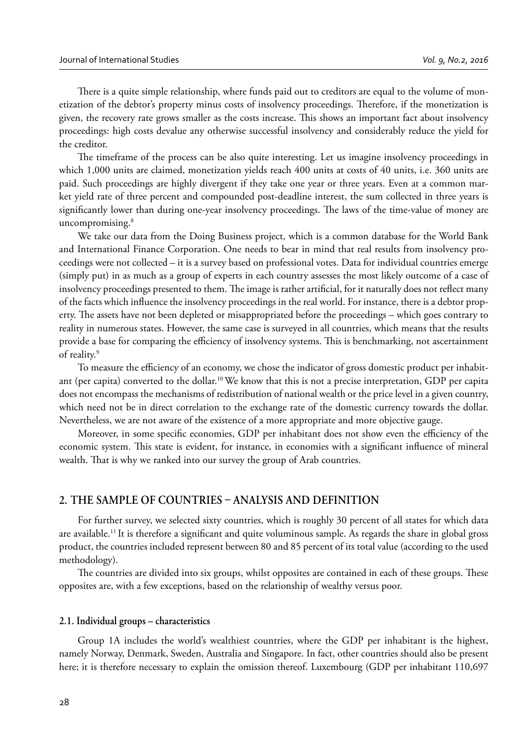There is a quite simple relationship, where funds paid out to creditors are equal to the volume of monetization of the debtor's property minus costs of insolvency proceedings. Therefore, if the monetization is given, the recovery rate grows smaller as the costs increase. This shows an important fact about insolvency proceedings: high costs devalue any otherwise successful insolvency and considerably reduce the yield for the creditor.

The timeframe of the process can be also quite interesting. Let us imagine insolvency proceedings in which 1,000 units are claimed, monetization yields reach 400 units at costs of 40 units, i.e. 360 units are paid. Such proceedings are highly divergent if they take one year or three years. Even at a common market yield rate of three percent and compounded post-deadline interest, the sum collected in three years is significantly lower than during one-year insolvency proceedings. The laws of the time-value of money are uncompromising. $8$ 

We take our data from the Doing Business project, which is a common database for the World Bank and International Finance Corporation. One needs to bear in mind that real results from insolvency proceedings were not collected – it is a survey based on professional votes. Data for individual countries emerge (simply put) in as much as a group of experts in each country assesses the most likely outcome of a case of insolvency proceedings presented to them. The image is rather artificial, for it naturally does not reflect many of the facts which influence the insolvency proceedings in the real world. For instance, there is a debtor property. The assets have not been depleted or misappropriated before the proceedings – which goes contrary to reality in numerous states. However, the same case is surveyed in all countries, which means that the results provide a base for comparing the efficiency of insolvency systems. This is benchmarking, not ascertainment of reality.<sup>9</sup>

To measure the efficiency of an economy, we chose the indicator of gross domestic product per inhabitant (per capita) converted to the dollar.10 We know that this is not a precise interpretation, GDP per capita does not encompass the mechanisms of redistribution of national wealth or the price level in a given country, which need not be in direct correlation to the exchange rate of the domestic currency towards the dollar. Nevertheless, we are not aware of the existence of a more appropriate and more objective gauge.

Moreover, in some specific economies, GDP per inhabitant does not show even the efficiency of the economic system. This state is evident, for instance, in economies with a significant influence of mineral wealth. That is why we ranked into our survey the group of Arab countries.

## 2. THE SAMPLE OF COUNTRIES - ANALYSIS AND DEFINITION

For further survey, we selected sixty countries, which is roughly 30 percent of all states for which data are available.<sup>11</sup> It is therefore a significant and quite voluminous sample. As regards the share in global gross product, the countries included represent between 80 and 85 percent of its total value (according to the used methodology).

The countries are divided into six groups, whilst opposites are contained in each of these groups. These opposites are, with a few exceptions, based on the relationship of wealthy versus poor.

#### **2.1. Individual groups – characteristics**

Group 1A includes the world's wealthiest countries, where the GDP per inhabitant is the highest, namely Norway, Denmark, Sweden, Australia and Singapore. In fact, other countries should also be present here; it is therefore necessary to explain the omission thereof. Luxembourg (GDP per inhabitant 110,697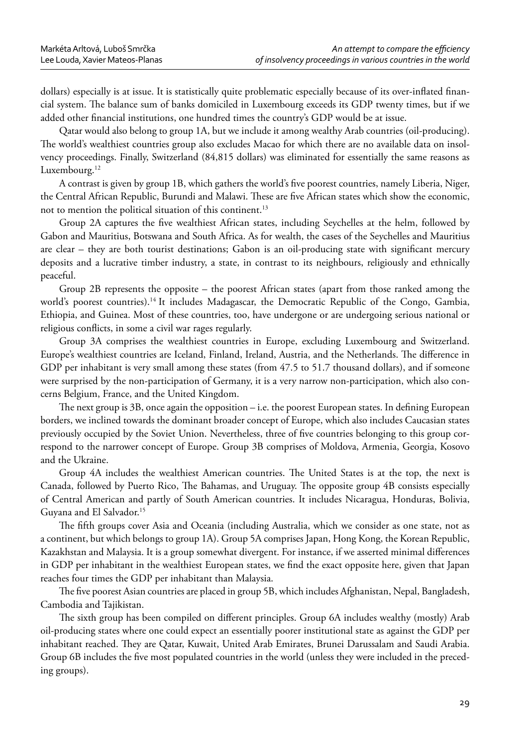dollars) especially is at issue. It is statistically quite problematic especially because of its over-inflated financial system. The balance sum of banks domiciled in Luxembourg exceeds its GDP twenty times, but if we added other financial institutions, one hundred times the country's GDP would be at issue.

Qatar would also belong to group 1A, but we include it among wealthy Arab countries (oil-producing). The world's wealthiest countries group also excludes Macao for which there are no available data on insolvency proceedings. Finally, Switzerland (84,815 dollars) was eliminated for essentially the same reasons as Luxembourg.<sup>12</sup>

A contrast is given by group 1B, which gathers the world's five poorest countries, namely Liberia, Niger, the Central African Republic, Burundi and Malawi. These are five African states which show the economic, not to mention the political situation of this continent.<sup>13</sup>

Group 2A captures the five wealthiest African states, including Seychelles at the helm, followed by Gabon and Mauritius, Botswana and South Africa. As for wealth, the cases of the Seychelles and Mauritius are clear – they are both tourist destinations; Gabon is an oil-producing state with significant mercury deposits and a lucrative timber industry, a state, in contrast to its neighbours, religiously and ethnically peaceful.

Group 2B represents the opposite – the poorest African states (apart from those ranked among the world's poorest countries).<sup>14</sup> It includes Madagascar, the Democratic Republic of the Congo, Gambia, Ethiopia, and Guinea. Most of these countries, too, have undergone or are undergoing serious national or religious conflicts, in some a civil war rages regularly.

Group 3A comprises the wealthiest countries in Europe, excluding Luxembourg and Switzerland. Europe's wealthiest countries are Iceland, Finland, Ireland, Austria, and the Netherlands. The difference in GDP per inhabitant is very small among these states (from 47.5 to 51.7 thousand dollars), and if someone were surprised by the non-participation of Germany, it is a very narrow non-participation, which also concerns Belgium, France, and the United Kingdom.

The next group is  $3B$ , once again the opposition  $-$  i.e. the poorest European states. In defining European borders, we inclined towards the dominant broader concept of Europe, which also includes Caucasian states previously occupied by the Soviet Union. Nevertheless, three of five countries belonging to this group correspond to the narrower concept of Europe. Group 3B comprises of Moldova, Armenia, Georgia, Kosovo and the Ukraine.

Group 4A includes the wealthiest American countries. The United States is at the top, the next is Canada, followed by Puerto Rico, The Bahamas, and Uruguay. The opposite group 4B consists especially of Central American and partly of South American countries. It includes Nicaragua, Honduras, Bolivia, Guyana and El Salvador.15

The fifth groups cover Asia and Oceania (including Australia, which we consider as one state, not as a continent, but which belongs to group 1A). Group 5A comprises Japan, Hong Kong, the Korean Republic, Kazakhstan and Malaysia. It is a group somewhat divergent. For instance, if we asserted minimal differences in GDP per inhabitant in the wealthiest European states, we find the exact opposite here, given that Japan reaches four times the GDP per inhabitant than Malaysia.

The five poorest Asian countries are placed in group 5B, which includes Afghanistan, Nepal, Bangladesh, Cambodia and Tajikistan.

The sixth group has been compiled on different principles. Group 6A includes wealthy (mostly) Arab oil-producing states where one could expect an essentially poorer institutional state as against the GDP per inhabitant reached. They are Qatar, Kuwait, United Arab Emirates, Brunei Darussalam and Saudi Arabia. Group 6B includes the five most populated countries in the world (unless they were included in the preceding groups).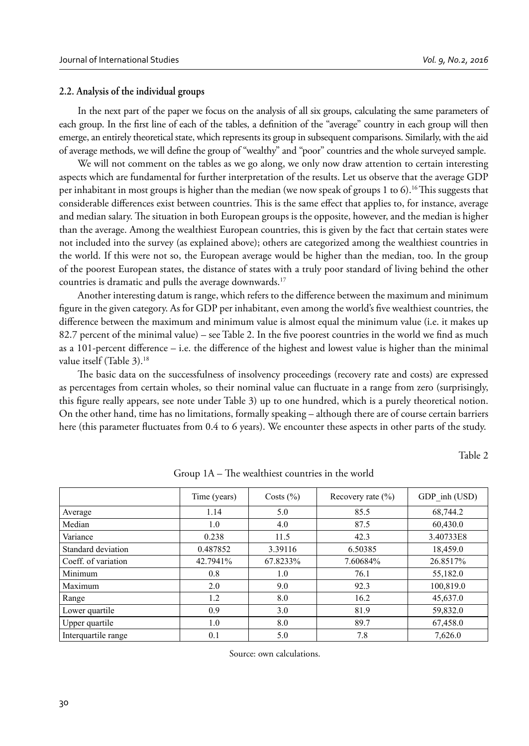#### **2.2. Analysis of the individual groups**

In the next part of the paper we focus on the analysis of all six groups, calculating the same parameters of each group. In the first line of each of the tables, a definition of the "average" country in each group will then emerge, an entirely theoretical state, which represents its group in subsequent comparisons. Similarly, with the aid of average methods, we will define the group of "wealthy" and "poor" countries and the whole surveyed sample.

We will not comment on the tables as we go along, we only now draw attention to certain interesting aspects which are fundamental for further interpretation of the results. Let us observe that the average GDP per inhabitant in most groups is higher than the median (we now speak of groups 1 to 6).<sup>16</sup> This suggests that considerable differences exist between countries. This is the same effect that applies to, for instance, average and median salary. The situation in both European groups is the opposite, however, and the median is higher than the average. Among the wealthiest European countries, this is given by the fact that certain states were not included into the survey (as explained above); others are categorized among the wealthiest countries in the world. If this were not so, the European average would be higher than the median, too. In the group of the poorest European states, the distance of states with a truly poor standard of living behind the other countries is dramatic and pulls the average downwards.<sup>17</sup>

Another interesting datum is range, which refers to the difference between the maximum and minimum figure in the given category. As for GDP per inhabitant, even among the world's five wealthiest countries, the difference between the maximum and minimum value is almost equal the minimum value (i.e. it makes up 82.7 percent of the minimal value) – see Table 2. In the five poorest countries in the world we find as much as a 101-percent difference – i.e. the difference of the highest and lowest value is higher than the minimal value itself (Table 3).<sup>18</sup>

The basic data on the successfulness of insolvency proceedings (recovery rate and costs) are expressed as percentages from certain wholes, so their nominal value can fluctuate in a range from zero (surprisingly, this figure really appears, see note under Table 3) up to one hundred, which is a purely theoretical notion. On the other hand, time has no limitations, formally speaking – although there are of course certain barriers here (this parameter fluctuates from 0.4 to 6 years). We encounter these aspects in other parts of the study.

Table 2

|                     | Time (years) | Costs $(\% )$ | Recovery rate $(\% )$ | GDP inh (USD) |
|---------------------|--------------|---------------|-----------------------|---------------|
| Average             | 1.14         | 5.0           | 85.5                  | 68,744.2      |
| Median              | 1.0          | 4.0           | 87.5                  | 60,430.0      |
| Variance            | 0.238        | 11.5          | 42.3                  | 3.40733E8     |
| Standard deviation  | 0.487852     | 3.39116       | 6.50385               | 18,459.0      |
| Coeff. of variation | 42.7941%     | 67.8233%      | 7.60684%              | 26.8517%      |
| Minimum             | 0.8          | 1.0           | 76.1                  | 55,182.0      |
| Maximum             | 2.0          | 9.0           | 92.3                  | 100,819.0     |
| Range               | 1.2          | 8.0           | 16.2                  | 45,637.0      |
| Lower quartile      | 0.9          | 3.0           | 81.9                  | 59,832.0      |
| Upper quartile      | 1.0          | 8.0           | 89.7                  | 67,458.0      |
| Interquartile range | 0.1          | 5.0           | 7.8                   | 7,626.0       |

Group  $1A$  – The wealthiest countries in the world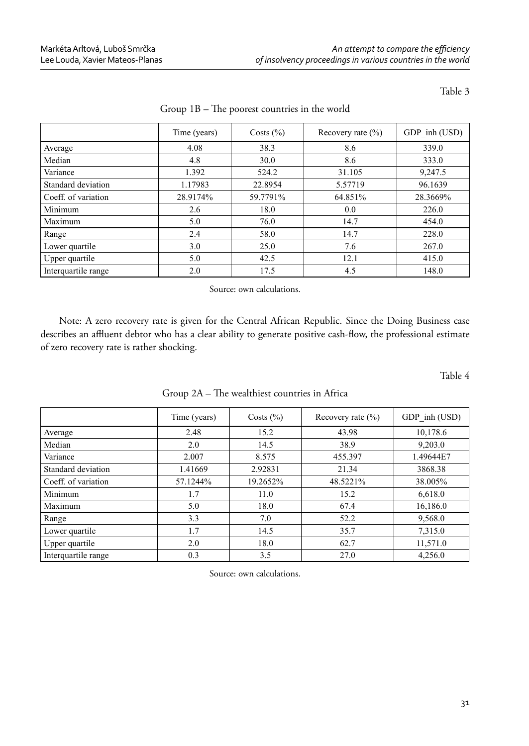|                     | Time (years) | Costs $(\% )$ | Recovery rate $(\% )$ | GDP inh (USD) |
|---------------------|--------------|---------------|-----------------------|---------------|
| Average             | 4.08         | 38.3          | 8.6                   | 339.0         |
| Median              | 4.8          | 30.0          | 8.6                   | 333.0         |
| Variance            | 1.392        | 524.2         | 31.105                | 9,247.5       |
| Standard deviation  | 1.17983      | 22.8954       | 5.57719               | 96.1639       |
| Coeff. of variation | 28.9174%     | 59.7791%      | 64.851%               | 28.3669%      |
| Minimum             | 2.6          | 18.0          | 0.0                   | 226.0         |
| Maximum             | 5.0          | 76.0          | 14.7                  | 454.0         |
| Range               | 2.4          | 58.0          | 14.7                  | 228.0         |
| Lower quartile      | 3.0          | 25.0          | 7.6                   | 267.0         |
| Upper quartile      | 5.0          | 42.5          | 12.1                  | 415.0         |
| Interquartile range | 2.0          | 17.5          | 4.5                   | 148.0         |

#### Group  $1B$  – The poorest countries in the world

Source: own calculations.

Note: A zero recovery rate is given for the Central African Republic. Since the Doing Business case describes an affluent debtor who has a clear ability to generate positive cash-flow, the professional estimate of zero recovery rate is rather shocking.

Table 4

|                     | Time (years) | Costs $(\% )$ | Recovery rate $(\% )$ | GDP inh (USD) |
|---------------------|--------------|---------------|-----------------------|---------------|
| Average             | 2.48         | 15.2          | 43.98                 | 10,178.6      |
| Median              | 2.0          | 14.5          | 38.9                  | 9,203.0       |
| Variance            | 2.007        | 8.575         | 455.397               | 1.49644E7     |
| Standard deviation  | 1.41669      | 2.92831       | 21.34                 | 3868.38       |
| Coeff. of variation | 57.1244%     | 19.2652%      | 48.5221%              | 38.005%       |
| Minimum             | 1.7          | 11.0          | 15.2                  | 6,618.0       |
| Maximum             | 5.0          | 18.0          | 67.4                  | 16,186.0      |
| Range               | 3.3          | 7.0           | 52.2                  | 9,568.0       |
| Lower quartile      | 1.7          | 14.5          | 35.7                  | 7,315.0       |
| Upper quartile      | 2.0          | 18.0          | 62.7                  | 11,571.0      |
| Interquartile range | 0.3          | 3.5           | 27.0                  | 4,256.0       |

Group 2A - The wealthiest countries in Africa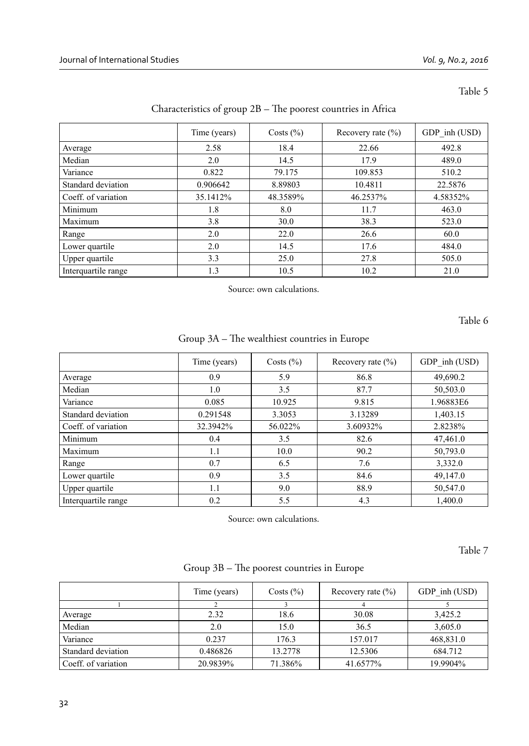|                     | Time (years) | Costs $(\% )$ | Recovery rate $(\% )$ | GDP inh (USD) |
|---------------------|--------------|---------------|-----------------------|---------------|
| Average             | 2.58         | 18.4          | 22.66                 | 492.8         |
| Median              | 2.0          | 14.5          | 17.9                  | 489.0         |
| Variance            | 0.822        | 79.175        | 109.853               | 510.2         |
| Standard deviation  | 0.906642     | 8.89803       | 10.4811               | 22.5876       |
| Coeff. of variation | 35.1412%     | 48.3589%      | 46.2537%              | 4.58352%      |
| Minimum             | 1.8          | 8.0           | 11.7                  | 463.0         |
| Maximum             | 3.8          | 30.0          | 38.3                  | 523.0         |
| Range               | 2.0          | 22.0          | 26.6                  | 60.0          |
| Lower quartile      | 2.0          | 14.5          | 17.6                  | 484.0         |
| Upper quartile      | 3.3          | 25.0          | 27.8                  | 505.0         |
| Interquartile range | 1.3          | 10.5          | 10.2                  | 21.0          |

# Characteristics of group  $2B$  – The poorest countries in Africa

Source: own calculations.

Table 6

Group 3A – The wealthiest countries in Europe

|                     | Time (years) | Costs $(\% )$ | Recovery rate $(\% )$ | GDP inh (USD) |
|---------------------|--------------|---------------|-----------------------|---------------|
| Average             | 0.9          | 5.9           | 86.8                  | 49,690.2      |
| Median              | 1.0          | 3.5           | 87.7                  | 50,503.0      |
| Variance            | 0.085        | 10.925        | 9.815                 | 1.96883E6     |
| Standard deviation  | 0.291548     | 3.3053        | 3.13289               | 1,403.15      |
| Coeff. of variation | 32.3942%     | 56.022%       | 3.60932%              | 2.8238%       |
| Minimum             | 0.4          | 3.5           | 82.6                  | 47,461.0      |
| Maximum             | 1.1          | 10.0          | 90.2                  | 50,793.0      |
| Range               | 0.7          | 6.5           | 7.6                   | 3,332.0       |
| Lower quartile      | 0.9          | 3.5           | 84.6                  | 49,147.0      |
| Upper quartile      | 1.1          | 9.0           | 88.9                  | 50,547.0      |
| Interquartile range | 0.2          | 5.5           | 4.3                   | 1,400.0       |

Source: own calculations.

Table 7

| Group 3B - The poorest countries in Europe |  |  |  |  |  |
|--------------------------------------------|--|--|--|--|--|
|--------------------------------------------|--|--|--|--|--|

|                     | Time (years) | Costs $(\% )$ | Recovery rate $(\% )$ | GDP inh (USD) |
|---------------------|--------------|---------------|-----------------------|---------------|
|                     |              |               |                       |               |
| Average             | 2.32         | 18.6          | 30.08                 | 3,425.2       |
| Median              | 2.0          | 15.0          | 36.5                  | 3,605.0       |
| Variance            | 0.237        | 176.3         | 157.017               | 468,831.0     |
| Standard deviation  | 0.486826     | 13.2778       | 12.5306               | 684.712       |
| Coeff. of variation | 20.9839%     | 71.386%       | 41.6577%              | 19.9904%      |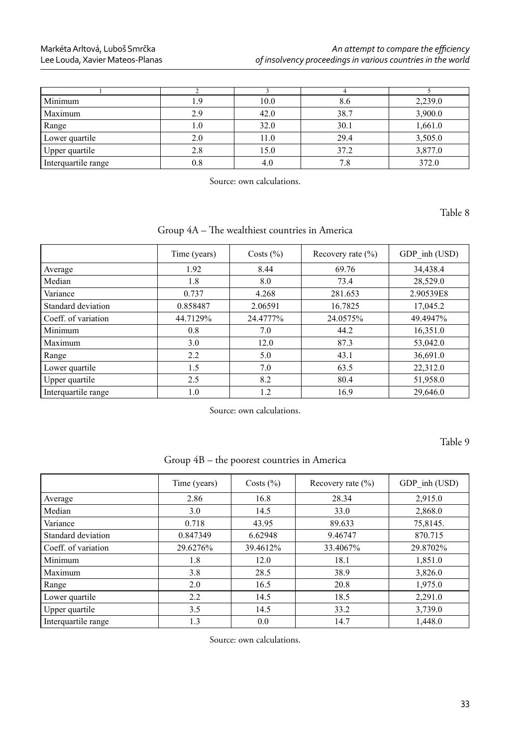## Markéta Arltová, Luboš Smrčka Lee Louda, Xavier Mateos-Planas

| Minimum             | ⊟9  | 10.0 | 8.6  | 2,239.0 |
|---------------------|-----|------|------|---------|
| Maximum             | 29  | 42.0 | 38.7 | 3,900.0 |
| Range               | 0.1 | 32.0 | 30.1 | 1,661.0 |
| Lower quartile      | 2.0 | 11.0 | 29.4 | 3,505.0 |
| Upper quartile      | 2.8 | 15.0 | 37.2 | 3,877.0 |
| Interquartile range | 0.8 | 4.0  | 7.8  | 372.0   |

Source: own calculations.

Table 8

Group 4A - The wealthiest countries in America

|                     | Time (years) | Costs $(\% )$ | Recovery rate $(\% )$ | GDP inh (USD) |
|---------------------|--------------|---------------|-----------------------|---------------|
| Average             | 1.92         | 8.44          | 69.76                 | 34,438.4      |
| Median              | 1.8          | 8.0           | 73.4                  | 28.529.0      |
| Variance            | 0.737        | 4.268         | 281.653               | 2.90539E8     |
| Standard deviation  | 0.858487     | 2.06591       | 16.7825               | 17,045.2      |
| Coeff. of variation | 44.7129%     | 24.4777%      | 24.0575%              | 49.4947%      |
| Minimum             | 0.8          | 7.0           | 44.2                  | 16,351.0      |
| Maximum             | 3.0          | 12.0          | 87.3                  | 53,042.0      |
| Range               | 2.2          | 5.0           | 43.1                  | 36,691.0      |
| Lower quartile      | 1.5          | 7.0           | 63.5                  | 22,312.0      |
| Upper quartile      | 2.5          | 8.2           | 80.4                  | 51,958.0      |
| Interquartile range | 1.0          | 1.2           | 16.9                  | 29,646.0      |

Source: own calculations.

Table 9

| Group 4B – the poorest countries in America |  |  |
|---------------------------------------------|--|--|
|                                             |  |  |

|                     | Time (years) | Costs $(\% )$ | Recovery rate $(\% )$ | GDP inh (USD) |
|---------------------|--------------|---------------|-----------------------|---------------|
| Average             | 2.86         | 16.8          | 28.34                 | 2.915.0       |
| Median              | 3.0          | 14.5          | 33.0                  | 2,868.0       |
| Variance            | 0.718        | 43.95         | 89.633                | 75,8145.      |
| Standard deviation  | 0.847349     | 6.62948       | 9.46747               | 870.715       |
| Coeff. of variation | 29.6276%     | 39.4612%      | 33.4067%              | 29.8702%      |
| Minimum             | 1.8          | 12.0          | 18.1                  | 1,851.0       |
| Maximum             | 3.8          | 28.5          | 38.9                  | 3,826.0       |
| Range               | 2.0          | 16.5          | 20.8                  | 1,975.0       |
| Lower quartile      | 2.2          | 14.5          | 18.5                  | 2,291.0       |
| Upper quartile      | 3.5          | 14.5          | 33.2                  | 3,739.0       |
| Interguartile range | 1.3          | 0.0           | 14.7                  | 1,448.0       |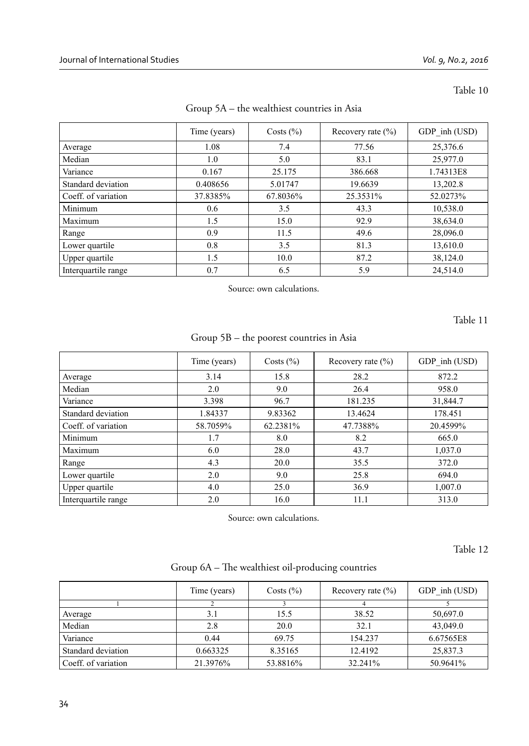|                     | Time (years) | Costs $(\% )$ | Recovery rate $(\% )$ | GDP inh (USD) |
|---------------------|--------------|---------------|-----------------------|---------------|
| Average             | 1.08         | 7.4           | 77.56                 | 25,376.6      |
| Median              | 1.0          | 5.0           | 83.1                  | 25,977.0      |
| Variance            | 0.167        | 25.175        | 386.668               | 1.74313E8     |
| Standard deviation  | 0.408656     | 5.01747       | 19.6639               | 13,202.8      |
| Coeff. of variation | 37.8385%     | 67.8036%      | 25.3531%              | 52.0273%      |
| Minimum             | 0.6          | 3.5           | 43.3                  | 10,538.0      |
| Maximum             | 1.5          | 15.0          | 92.9                  | 38,634.0      |
| Range               | 0.9          | 11.5          | 49.6                  | 28,096.0      |
| Lower quartile      | 0.8          | 3.5           | 81.3                  | 13,610.0      |
| Upper quartile      | 1.5          | 10.0          | 87.2                  | 38,124.0      |
| Interquartile range | 0.7          | 6.5           | 5.9                   | 24,514.0      |

Group 5A – the wealthiest countries in Asia

Source: own calculations.

Table 11

Group 5B – the poorest countries in Asia

|                     | Time (years) | Costs $(\% )$ | Recovery rate $(\% )$ | GDP inh (USD) |
|---------------------|--------------|---------------|-----------------------|---------------|
| Average             | 3.14         | 15.8          | 28.2                  | 872.2         |
| Median              | 2.0          | 9.0           | 26.4                  | 958.0         |
| Variance            | 3.398        | 96.7          | 181.235               | 31,844.7      |
| Standard deviation  | 1.84337      | 9.83362       | 13.4624               | 178.451       |
| Coeff. of variation | 58.7059%     | 62.2381%      | 47.7388%              | 20.4599%      |
| Minimum             | 1.7          | 8.0           | 8.2                   | 665.0         |
| Maximum             | 6.0          | 28.0          | 43.7                  | 1,037.0       |
| Range               | 4.3          | 20.0          | 35.5                  | 372.0         |
| Lower quartile      | 2.0          | 9.0           | 25.8                  | 694.0         |
| Upper quartile      | 4.0          | 25.0          | 36.9                  | 1,007.0       |
| Interquartile range | 2.0          | 16.0          | 11.1                  | 313.0         |

Source: own calculations.

Table 12

|  | Group 6A – The wealthiest oil-producing countries |  |  |  |
|--|---------------------------------------------------|--|--|--|
|  |                                                   |  |  |  |

|                     | Time (years) | Costs $(\% )$ | Recovery rate $(\% )$ | GDP inh (USD) |
|---------------------|--------------|---------------|-----------------------|---------------|
|                     |              |               |                       |               |
| Average             | 3.1          | 15.5          | 38.52                 | 50,697.0      |
| Median              | 2.8          | 20.0          | 32.1                  | 43,049.0      |
| Variance            | 0.44         | 69.75         | 154.237               | 6.67565E8     |
| Standard deviation  | 0.663325     | 8.35165       | 12.4192               | 25,837.3      |
| Coeff. of variation | 21.3976%     | 53.8816%      | 32.241%               | 50.9641%      |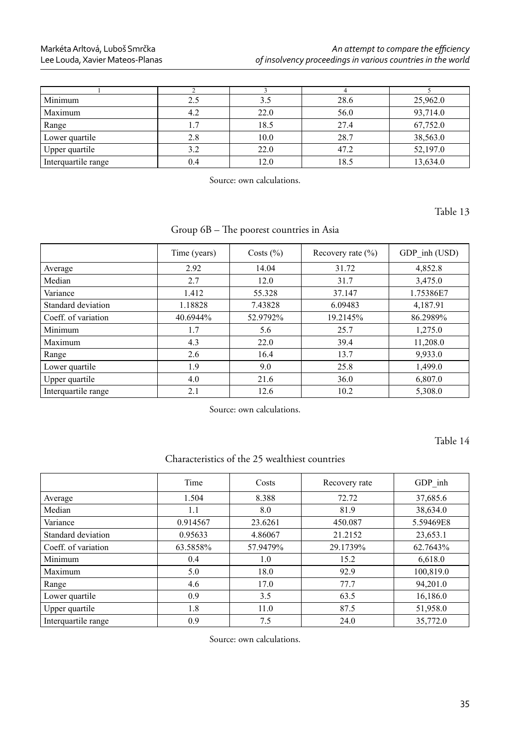## Markéta Arltová, Luboš Smrčka Lee Louda, Xavier Mateos-Planas

| Minimum             | 2.5 | 3.5  | 28.6 | 25,962.0 |
|---------------------|-----|------|------|----------|
| Maximum             | 4.2 | 22.0 | 56.0 | 93,714.0 |
| Range               |     | 18.5 | 27.4 | 67,752.0 |
| Lower quartile      | 2.8 | 10.0 | 28.7 | 38,563.0 |
| Upper quartile      | 3.2 | 22.0 | 47.2 | 52,197.0 |
| Interquartile range | 0.4 | 12.0 | 18.5 | 13,634.0 |

Source: own calculations.

Table 13

Group 6B - The poorest countries in Asia

|                     | Time (years) | Costs $(\% )$ | Recovery rate $(\% )$ | GDP inh (USD) |
|---------------------|--------------|---------------|-----------------------|---------------|
| Average             | 2.92         | 14.04         | 31.72                 | 4,852.8       |
| Median              | 2.7          | 12.0          | 31.7                  | 3,475.0       |
| Variance            | 1.412        | 55.328        | 37.147                | 1.75386E7     |
| Standard deviation  | 1.18828      | 7.43828       | 6.09483               | 4,187.91      |
| Coeff. of variation | 40.6944%     | 52.9792%      | 19.2145%              | 86.2989%      |
| Minimum             | 1.7          | 5.6           | 25.7                  | 1,275.0       |
| Maximum             | 4.3          | 22.0          | 39.4                  | 11,208.0      |
| Range               | 2.6          | 16.4          | 13.7                  | 9,933.0       |
| Lower quartile      | 1.9          | 9.0           | 25.8                  | 1,499.0       |
| Upper quartile      | 4.0          | 21.6          | 36.0                  | 6,807.0       |
| Interquartile range | 2.1          | 12.6          | 10.2                  | 5,308.0       |

Source: own calculations.

Table 14

Characteristics of the 25 wealthiest countries

|                     | Time     | Costs    | Recovery rate | GDP inh   |
|---------------------|----------|----------|---------------|-----------|
| Average             | 1.504    | 8.388    | 72.72         | 37,685.6  |
| Median              | 1.1      | 8.0      | 81.9          | 38,634.0  |
| Variance            | 0.914567 | 23.6261  | 450.087       | 5.59469E8 |
| Standard deviation  | 0.95633  | 4.86067  | 21.2152       | 23,653.1  |
| Coeff. of variation | 63.5858% | 57.9479% | 29.1739%      | 62.7643%  |
| Minimum             | 0.4      | 1.0      | 15.2          | 6,618.0   |
| Maximum             | 5.0      | 18.0     | 92.9          | 100,819.0 |
| Range               | 4.6      | 17.0     | 77.7          | 94,201.0  |
| Lower quartile      | 0.9      | 3.5      | 63.5          | 16,186.0  |
| Upper quartile      | 1.8      | 11.0     | 87.5          | 51,958.0  |
| Interquartile range | 0.9      | 7.5      | 24.0          | 35,772.0  |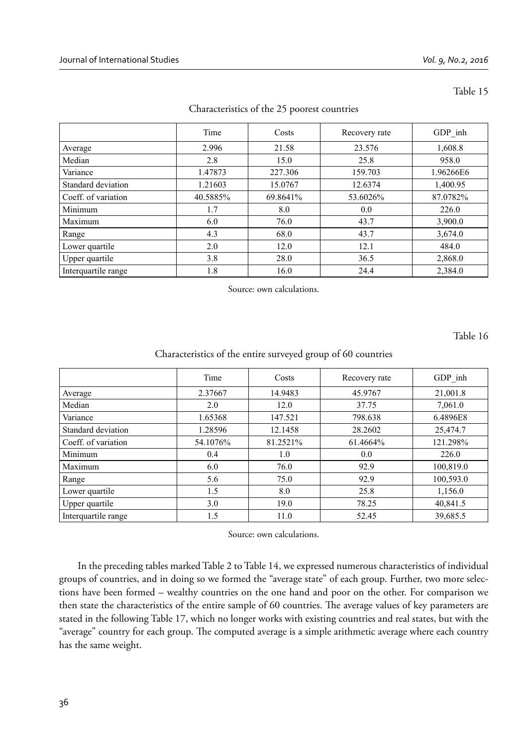|                     | Time     | Costs    | Recovery rate | $GDP_$ inh |
|---------------------|----------|----------|---------------|------------|
| Average             | 2.996    | 21.58    | 23.576        | 1,608.8    |
| Median              | 2.8      | 15.0     | 25.8          | 958.0      |
| Variance            | 1.47873  | 227.306  | 159.703       | 1.96266E6  |
| Standard deviation  | 1.21603  | 15.0767  | 12.6374       | 1,400.95   |
| Coeff. of variation | 40.5885% | 69.8641% | 53.6026%      | 87.0782%   |
| Minimum             | 1.7      | 8.0      | 0.0           | 226.0      |
| Maximum             | 6.0      | 76.0     | 43.7          | 3,900.0    |
| Range               | 4.3      | 68.0     | 43.7          | 3,674.0    |
| Lower quartile      | 2.0      | 12.0     | 12.1          | 484.0      |
| Upper quartile      | 3.8      | 28.0     | 36.5          | 2,868.0    |
| Interquartile range | 1.8      | 16.0     | 24.4          | 2,384.0    |

#### Characteristics of the 25 poorest countries

Source: own calculations.

Table 16

#### Characteristics of the entire surveyed group of 60 countries

|                     | Time     | Costs    | Recovery rate | GDP inh   |
|---------------------|----------|----------|---------------|-----------|
| Average             | 2.37667  | 14.9483  | 45.9767       | 21,001.8  |
| Median              | 2.0      | 12.0     | 37.75         | 7,061.0   |
| Variance            | 1.65368  | 147.521  | 798.638       | 6.4896E8  |
| Standard deviation  | 1.28596  | 12.1458  | 28.2602       | 25,474.7  |
| Coeff. of variation | 54.1076% | 81.2521% | 61.4664%      | 121.298%  |
| Minimum             | 0.4      | 1.0      | 0.0           | 226.0     |
| Maximum             | 6.0      | 76.0     | 92.9          | 100,819.0 |
| Range               | 5.6      | 75.0     | 92.9          | 100,593.0 |
| Lower quartile      | 1.5      | 8.0      | 25.8          | 1,156.0   |
| Upper quartile      | 3.0      | 19.0     | 78.25         | 40,841.5  |
| Interquartile range | 1.5      | 11.0     | 52.45         | 39,685.5  |

Source: own calculations.

In the preceding tables marked Table 2 to Table 14, we expressed numerous characteristics of individual groups of countries, and in doing so we formed the "average state" of each group. Further, two more selections have been formed – wealthy countries on the one hand and poor on the other. For comparison we then state the characteristics of the entire sample of 60 countries. The average values of key parameters are stated in the following Table 17, which no longer works with existing countries and real states, but with the "average" country for each group. The computed average is a simple arithmetic average where each country has the same weight.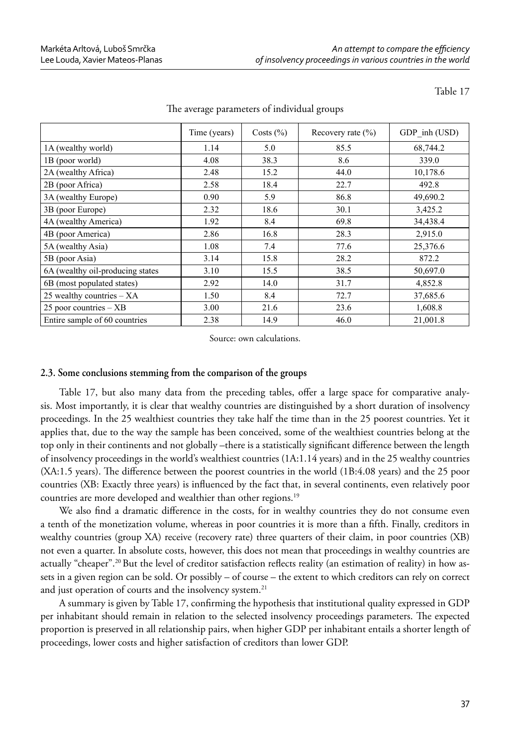|                                  | Time (years) | Costs $(\% )$ | Recovery rate $(\% )$ | GDP inh (USD) |
|----------------------------------|--------------|---------------|-----------------------|---------------|
| 1A (wealthy world)               | 1.14         | 5.0           | 85.5                  | 68,744.2      |
| 1B (poor world)                  | 4.08         | 38.3          | 8.6                   | 339.0         |
| 2A (wealthy Africa)              | 2.48         | 15.2          | 44.0                  | 10,178.6      |
| 2B (poor Africa)                 | 2.58         | 18.4          | 22.7                  | 492.8         |
| 3A (wealthy Europe)              | 0.90         | 5.9           | 86.8                  | 49,690.2      |
| 3B (poor Europe)                 | 2.32         | 18.6          | 30.1                  | 3,425.2       |
| 4A (wealthy America)             | 1.92         | 8.4           | 69.8                  | 34,438.4      |
| 4B (poor America)                | 2.86         | 16.8          | 28.3                  | 2,915.0       |
| 5A (wealthy Asia)                | 1.08         | 7.4           | 77.6                  | 25,376.6      |
| 5B (poor Asia)                   | 3.14         | 15.8          | 28.2                  | 872.2         |
| 6A (wealthy oil-producing states | 3.10         | 15.5          | 38.5                  | 50,697.0      |
| 6B (most populated states)       | 2.92         | 14.0          | 31.7                  | 4,852.8       |
| 25 wealthy countries $- XA$      | 1.50         | 8.4           | 72.7                  | 37,685.6      |
| $25$ poor countries $-$ XB       | 3.00         | 21.6          | 23.6                  | 1,608.8       |
| Entire sample of 60 countries    | 2.38         | 14.9          | 46.0                  | 21,001.8      |

#### The average parameters of individual groups

Source: own calculations.

#### **2.3. Some conclusions stemming from the comparison of the groups**

Table 17, but also many data from the preceding tables, offer a large space for comparative analysis. Most importantly, it is clear that wealthy countries are distinguished by a short duration of insolvency proceedings. In the 25 wealthiest countries they take half the time than in the 25 poorest countries. Yet it applies that, due to the way the sample has been conceived, some of the wealthiest countries belong at the top only in their continents and not globally –there is a statistically significant difference between the length of insolvency proceedings in the world's wealthiest countries (1A:1.14 years) and in the 25 wealthy countries (XA:1.5 years). The difference between the poorest countries in the world (1B:4.08 years) and the 25 poor countries (XB: Exactly three years) is influenced by the fact that, in several continents, even relatively poor countries are more developed and wealthier than other regions.<sup>19</sup>

We also find a dramatic difference in the costs, for in wealthy countries they do not consume even a tenth of the monetization volume, whereas in poor countries it is more than a fifth. Finally, creditors in wealthy countries (group XA) receive (recovery rate) three quarters of their claim, in poor countries (XB) not even a quarter. In absolute costs, however, this does not mean that proceedings in wealthy countries are actually "cheaper".<sup>20</sup> But the level of creditor satisfaction reflects reality (an estimation of reality) in how assets in a given region can be sold. Or possibly – of course – the extent to which creditors can rely on correct and just operation of courts and the insolvency system.<sup>21</sup>

A summary is given by Table 17, confirming the hypothesis that institutional quality expressed in GDP per inhabitant should remain in relation to the selected insolvency proceedings parameters. The expected proportion is preserved in all relationship pairs, when higher GDP per inhabitant entails a shorter length of proceedings, lower costs and higher satisfaction of creditors than lower GDP.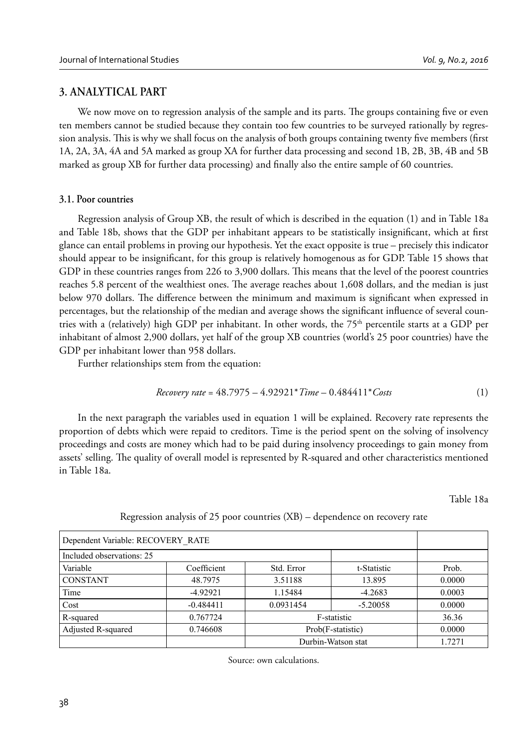#### **3. ANALYTICAL PART**

We now move on to regression analysis of the sample and its parts. The groups containing five or even ten members cannot be studied because they contain too few countries to be surveyed rationally by regression analysis. This is why we shall focus on the analysis of both groups containing twenty five members (first 1A, 2A, 3A, 4A and 5A marked as group XA for further data processing and second 1B, 2B, 3B, 4B and 5B marked as group XB for further data processing) and finally also the entire sample of 60 countries.

#### **3.1. Poor countries**

Regression analysis of Group XB, the result of which is described in the equation (1) and in Table 18a and Table 18b, shows that the GDP per inhabitant appears to be statistically insignificant, which at first glance can entail problems in proving our hypothesis. Yet the exact opposite is true – precisely this indicator should appear to be insignificant, for this group is relatively homogenous as for GDP. Table 15 shows that GDP in these countries ranges from 226 to 3,900 dollars. This means that the level of the poorest countries reaches 5.8 percent of the wealthiest ones. The average reaches about 1,608 dollars, and the median is just below 970 dollars. The difference between the minimum and maximum is significant when expressed in percentages, but the relationship of the median and average shows the significant influence of several countries with a (relatively) high GDP per inhabitant. In other words, the 75th percentile starts at a GDP per inhabitant of almost 2,900 dollars, yet half of the group XB countries (world's 25 poor countries) have the GDP per inhabitant lower than 958 dollars.

Further relationships stem from the equation:

*Recovery rate* = 
$$
48.7975 - 4.92921 \times Time - 0.484411 \times Cost
$$
 (1)

In the next paragraph the variables used in equation 1 will be explained. Recovery rate represents the proportion of debts which were repaid to creditors. Time is the period spent on the solving of insolvency proceedings and costs are money which had to be paid during insolvency proceedings to gain money from assets' selling. The quality of overall model is represented by R-squared and other characteristics mentioned in Table 18a.

Table 18a

| Dependent Variable: RECOVERY RATE |             |            |                    |        |
|-----------------------------------|-------------|------------|--------------------|--------|
| Included observations: 25         |             |            |                    |        |
| Variable                          | Coefficient | Std. Error | t-Statistic        | Prob.  |
| <b>CONSTANT</b>                   | 48.7975     | 3.51188    | 13.895             | 0.0000 |
| Time                              | $-4.92921$  | 1.15484    | $-4.2683$          | 0.0003 |
| Cost                              | $-0.484411$ | 0.0931454  | $-5.20058$         | 0.0000 |
| R-squared                         | 0.767724    |            | F-statistic        | 36.36  |
| Adjusted R-squared                | 0.746608    |            | Prob(F-statistic)  | 0.0000 |
|                                   |             |            | Durbin-Watson stat | 1.7271 |

#### Regression analysis of 25 poor countries (XB) – dependence on recovery rate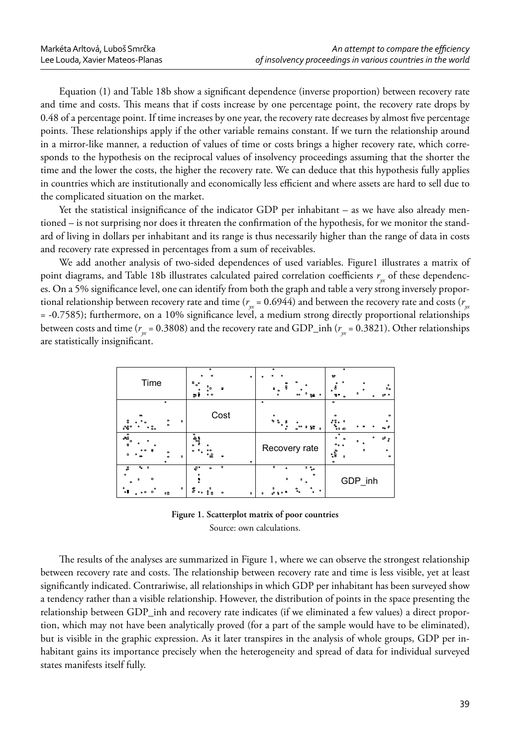Equation (1) and Table 18b show a significant dependence (inverse proportion) between recovery rate and time and costs. This means that if costs increase by one percentage point, the recovery rate drops by 0.48 of a percentage point. If time increases by one year, the recovery rate decreases by almost five percentage points. These relationships apply if the other variable remains constant. If we turn the relationship around in a mirror-like manner, a reduction of values of time or costs brings a higher recovery rate, which corresponds to the hypothesis on the reciprocal values of insolvency proceedings assuming that the shorter the time and the lower the costs, the higher the recovery rate. We can deduce that this hypothesis fully applies in countries which are institutionally and economically less efficient and where assets are hard to sell due to the complicated situation on the market.

Yet the statistical insignificance of the indicator GDP per inhabitant  $-$  as we have also already mentioned – is not surprising nor does it threaten the confirmation of the hypothesis, for we monitor the standard of living in dollars per inhabitant and its range is thus necessarily higher than the range of data in costs and recovery rate expressed in percentages from a sum of receivables.

We add another analysis of two-sided dependences of used variables. Figure1 illustrates a matrix of point diagrams, and Table 18b illustrates calculated paired correlation coefficients  $r<sub>x</sub>$  of these dependences. On a 5% significance level, one can identify from both the graph and table a very strong inversely proportional relationship between recovery rate and time ( $r_w$  = 0.6944) and between the recovery rate and costs ( $r_w$ = -0.7585); furthermore, on a 10% significance level, a medium strong directly proportional relationships between costs and time ( $r_w$  = 0.3808) and the recovery rate and GDP\_inh ( $r_w$  = 0.3821). Other relationships are statistically insignificant.

| Time                                                                                                             | $\bullet$<br>٠<br>$\circ$<br>۰, ۹<br>o<br>நβ<br>$\mathbf{a}$           | $\alpha$<br>۰<br>۰<br>$\bullet$<br>n<br>Ŧ<br>n<br>$\bullet$ .<br>۰<br>98<br>o<br>œ<br>$\bullet$                                                    | ۰<br>Ψ<br>۰<br>$\alpha$<br>$\circ$<br>ه<br>مه<br>$\overline{a}$<br>$\alpha$<br>o<br><sub>0</sub> 0 0<br>$\Omega$                            |
|------------------------------------------------------------------------------------------------------------------|------------------------------------------------------------------------|----------------------------------------------------------------------------------------------------------------------------------------------------|---------------------------------------------------------------------------------------------------------------------------------------------|
| n.<br>$\mathbf{r}$<br>۰<br>۰<br>o<br>38<br>8.<br>۰                                                               | Cost                                                                   | ۰<br>۰<br><b>% &amp;</b><br>8<br>۰<br>$\bullet$<br>6 %<br>00<br>o<br>o<br>$\mathbf{a}$                                                             | ۰<br>۰<br>$\Omega$<br>$\bullet$<br>ዔ<br>$a_0$ $\theta$<br>$\overline{a}$<br>œ                                                               |
| $\overline{a}$<br>dЮ<br>o<br>я<br>o.<br>o<br>٠<br>٠<br>$\overline{a}$<br>œ<br>۰<br>n                             | ៖<br>n<br>0 <sub>0</sub><br>‰<br>۰<br>۰                                | Recovery rate                                                                                                                                      | ۰<br>$\bullet$<br>$a_0$ $\overline{b}$<br>$\bullet$<br><br>$\blacksquare$<br>$\bullet$<br>$\mathbf{e_{so}^{o}}$<br>۰<br>×<br>$\overline{a}$ |
| $\overline{a}$<br>c<br>å<br>$\circ$<br>o<br>۰<br>$\bullet$<br>٠<br>- 8<br>$\mathbf{a}$<br>$\bullet$<br>o B<br>o. | o<br>e, o<br>$\mathbf{a}$<br>۰<br>\$<br>៖<br>$\bullet$<br>$\circ$<br>۰ | o<br>$^{\circ}$ $^{\circ}_{\circ}$<br>$\mathbf{a}$<br>$\circ$<br>o<br>٠.<br>$\mathbf{e}_{\mathbf{0}}$<br>$\bullet$<br><b>PR</b><br>α.<br>$\bullet$ | GDP_inh                                                                                                                                     |

**Figure 1. Scatterplot matrix of poor countries**  Source: own calculations.

The results of the analyses are summarized in Figure 1, where we can observe the strongest relationship between recovery rate and costs. The relationship between recovery rate and time is less visible, yet at least significantly indicated. Contrariwise, all relationships in which GDP per inhabitant has been surveyed show a tendency rather than a visible relationship. However, the distribution of points in the space presenting the relationship between GDP\_inh and recovery rate indicates (if we eliminated a few values) a direct proportion, which may not have been analytically proved (for a part of the sample would have to be eliminated), but is visible in the graphic expression. As it later transpires in the analysis of whole groups, GDP per inhabitant gains its importance precisely when the heterogeneity and spread of data for individual surveyed states manifests itself fully.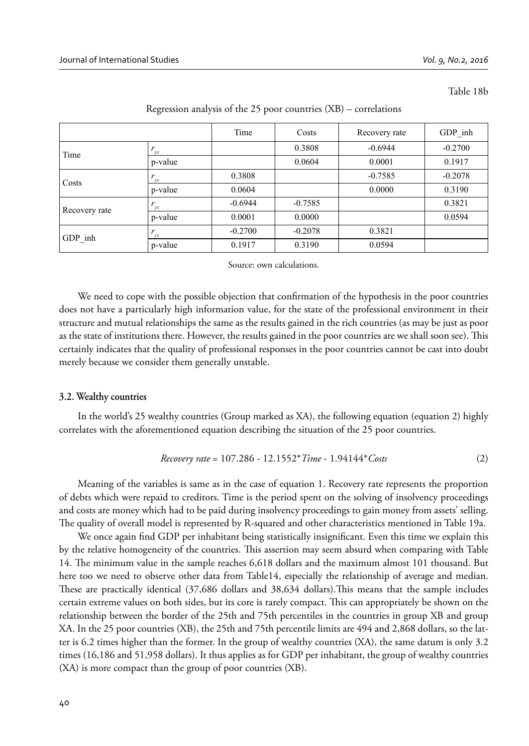Table 18b

|               | ↩         |           |           |               |           |
|---------------|-----------|-----------|-----------|---------------|-----------|
|               |           | Time      | Costs     | Recovery rate | GDP inh   |
| Time          | vx        |           | 0.3808    | $-0.6944$     | $-0.2700$ |
|               | p-value   |           | 0.0604    | 0.0001        | 0.1917    |
| Costs         | vx        | 0.3808    |           | $-0.7585$     | $-0.2078$ |
|               | p-value   | 0.0604    |           | 0.0000        | 0.3190    |
| Recovery rate | vx        | $-0.6944$ | $-0.7585$ |               | 0.3821    |
|               | p-value   | 0.0001    | 0.0000    |               | 0.0594    |
| GDP inh       | <b>VX</b> | $-0.2700$ | $-0.2078$ | 0.3821        |           |
|               | p-value   | 0.1917    | 0.3190    | 0.0594        |           |

Regression analysis of the 25 poor countries (XB) – correlations

Source: own calculations.

We need to cope with the possible objection that confirmation of the hypothesis in the poor countries does not have a particularly high information value, for the state of the professional environment in their structure and mutual relationships the same as the results gained in the rich countries (as may be just as poor as the state of institutions there. However, the results gained in the poor countries are we shall soon see). This certainly indicates that the quality of professional responses in the poor countries cannot be cast into doubt merely because we consider them generally unstable.

#### **3.2. Wealthy countries**

In the world's 25 wealthy countries (Group marked as XA), the following equation (equation 2) highly correlates with the aforementioned equation describing the situation of the 25 poor countries.

$$
Recovery\ rate = 107.286 - 12.1552*Time - 1.94144*Cost
$$
 (2)

Meaning of the variables is same as in the case of equation 1. Recovery rate represents the proportion of debts which were repaid to creditors. Time is the period spent on the solving of insolvency proceedings and costs are money which had to be paid during insolvency proceedings to gain money from assets' selling. The quality of overall model is represented by R-squared and other characteristics mentioned in Table 19a.

We once again find GDP per inhabitant being statistically insignificant. Even this time we explain this by the relative homogeneity of the countries. This assertion may seem absurd when comparing with Table 14. The minimum value in the sample reaches 6,618 dollars and the maximum almost 101 thousand. But here too we need to observe other data from Table14, especially the relationship of average and median. These are practically identical (37,686 dollars and 38,634 dollars). This means that the sample includes certain extreme values on both sides, but its core is rarely compact. This can appropriately be shown on the relationship between the border of the 25th and 75th percentiles in the countries in group XB and group XA. In the 25 poor countries (XB), the 25th and 75th percentile limits are 494 and 2,868 dollars, so the latter is 6.2 times higher than the former. In the group of wealthy countries (XA), the same datum is only 3.2 times (16,186 and 51,958 dollars). It thus applies as for GDP per inhabitant, the group of wealthy countries (XA) is more compact than the group of poor countries (XB).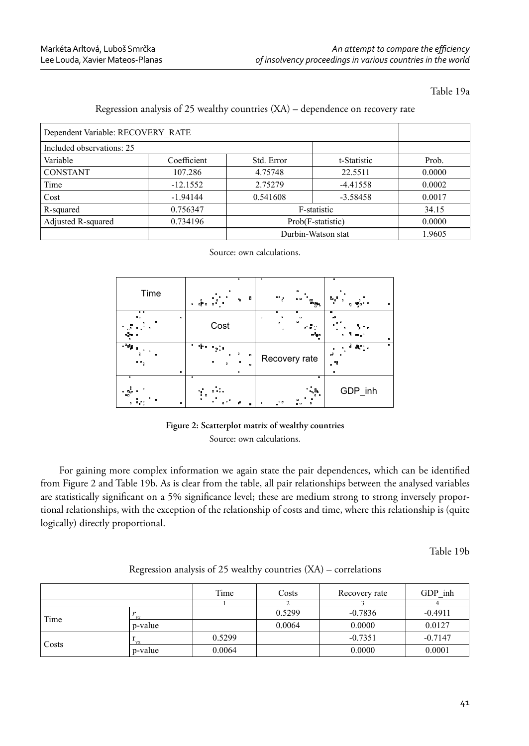Table 19a

| Dependent Variable: RECOVERY RATE |             |                   |                    |        |
|-----------------------------------|-------------|-------------------|--------------------|--------|
| Included observations: 25         |             |                   |                    |        |
| Variable                          | Coefficient | Std. Error        | t-Statistic        | Prob.  |
| <b>CONSTANT</b>                   | 107.286     | 4.75748           | 22.5511            | 0.0000 |
| Time                              | $-12.1552$  | 2.75279           | $-4.41558$         | 0.0002 |
| Cost                              | $-1.94144$  | 0.541608          | $-3.58458$         | 0.0017 |
| R-squared                         | 0.756347    |                   | F-statistic        | 34.15  |
| Adjusted R-squared                | 0.734196    | Prob(F-statistic) | 0.0000             |        |
|                                   |             |                   | Durbin-Watson stat | 1.9605 |

#### Regression analysis of 25 wealthy countries (XA) – dependence on recovery rate

Source: own calculations.

| Time                                                   | ۰<br>۰<br>8<br>۹.<br>$\bullet$                                 | $\overline{a}$<br>٠<br>°°。<br>00<br>ၜႝၜၛၟႄႜၟ                         | $\overline{a}$<br>°-ն<br>$\frac{1}{2}$<br>$\mathbf{a}$<br>۰<br>8                                           |
|--------------------------------------------------------|----------------------------------------------------------------|----------------------------------------------------------------------|------------------------------------------------------------------------------------------------------------|
| 0 <sub>0</sub><br>$\mathbf{a}_n$<br>۰<br>۰<br>ە#,      | Cost                                                           | $\alpha$<br>n<br>۰<br>$\bullet$<br>۰<br>$\alpha$<br>$\bullet$<br>ოზი | ۰<br>ക്ക<br>۰<br>8<br><b>m</b> <sub>0</sub> <sup>0</sup><br>$\blacksquare$<br>۰                            |
| $^{\circ}$ ap<br>r<br>$\blacksquare$<br>۰∘ و<br>۰      | oB.<br>o<br>۰<br>۰<br>n<br>۰<br>$\circ$<br>$\bullet$<br>۰<br>۰ | Recovery rate                                                        | ٠<br>å<br>$a_{\alpha}^{\alpha}{}_{\alpha}^{\alpha}{}_{\alpha}$<br>e<br>٠<br>맹<br>$\blacksquare$<br>$\circ$ |
| $\mathbf{a}$<br>۰,<br>$\overline{a}$<br>۰<br>$\bullet$ | o<br>T<br>۰<br>$\mathbf{a}$<br>œ<br>۰                          | ۰<br>æ<br>$\mathbf{a}$<br>ு அ<br>۰<br>n<br>0 <sup>0</sup>            | GDP_inh                                                                                                    |

**Figure 2: Scatterplot matrix of wealthy countries** Source: own calculations.

For gaining more complex information we again state the pair dependences, which can be identified from Figure 2 and Table 19b. As is clear from the table, all pair relationships between the analysed variables are statistically significant on a 5% significance level; these are medium strong to strong inversely proportional relationships, with the exception of the relationship of costs and time, where this relationship is (quite logically) directly proportional.

Table 19b

|       |           | Time   | Costs  | Recovery rate | GDP inh   |
|-------|-----------|--------|--------|---------------|-----------|
|       |           |        |        |               |           |
| Time  |           |        | 0.5299 | $-0.7836$     | $-0.4911$ |
|       | p-value   |        | 0.0064 | 0.0000        | 0.0127    |
| Costs | <b>VX</b> | 0.5299 |        | $-0.7351$     | $-0.7147$ |
|       | p-value   | 0.0064 |        | 0.0000        | 0.0001    |

Regression analysis of 25 wealthy countries (XA) – correlations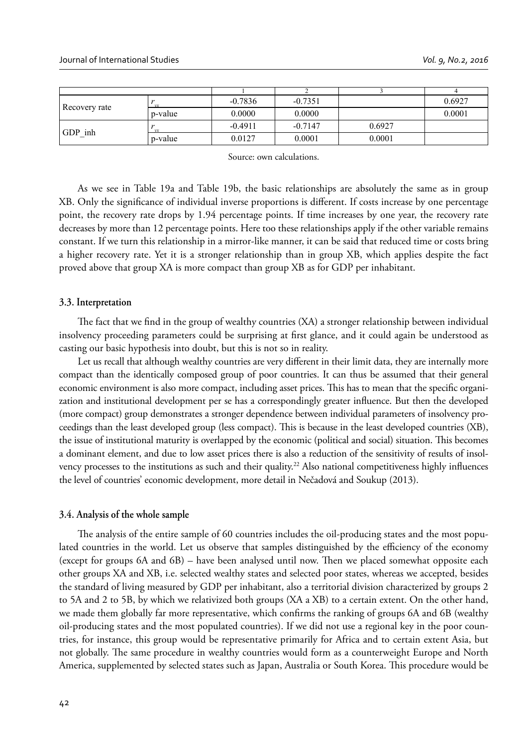| Recovery rate |         | $-0.7836$ | $-0.7351$ |        | 0.6927 |
|---------------|---------|-----------|-----------|--------|--------|
|               | p-value | 0.0000    | 0.0000    |        | 0.0001 |
| GDP inh       |         | $-0.4911$ | $-0.7147$ | 0.6927 |        |
|               | p-value | 0.0127    | 0.0001    | 0.0001 |        |

Source: own calculations.

As we see in Table 19a and Table 19b, the basic relationships are absolutely the same as in group XB. Only the significance of individual inverse proportions is different. If costs increase by one percentage point, the recovery rate drops by 1.94 percentage points. If time increases by one year, the recovery rate decreases by more than 12 percentage points. Here too these relationships apply if the other variable remains constant. If we turn this relationship in a mirror-like manner, it can be said that reduced time or costs bring a higher recovery rate. Yet it is a stronger relationship than in group XB, which applies despite the fact proved above that group XA is more compact than group XB as for GDP per inhabitant.

#### **3.3. Interpretation**

The fact that we find in the group of wealthy countries (XA) a stronger relationship between individual insolvency proceeding parameters could be surprising at first glance, and it could again be understood as casting our basic hypothesis into doubt, but this is not so in reality.

Let us recall that although wealthy countries are very different in their limit data, they are internally more compact than the identically composed group of poor countries. It can thus be assumed that their general economic environment is also more compact, including asset prices. This has to mean that the specific organization and institutional development per se has a correspondingly greater influence. But then the developed (more compact) group demonstrates a stronger dependence between individual parameters of insolvency proceedings than the least developed group (less compact). This is because in the least developed countries (XB), the issue of institutional maturity is overlapped by the economic (political and social) situation. This becomes a dominant element, and due to low asset prices there is also a reduction of the sensitivity of results of insolvency processes to the institutions as such and their quality.<sup>22</sup> Also national competitiveness highly influences the level of countries' economic development, more detail in Nečadová and Soukup (2013).

#### **3.4. Analysis of the whole sample**

The analysis of the entire sample of 60 countries includes the oil-producing states and the most populated countries in the world. Let us observe that samples distinguished by the efficiency of the economy (except for groups  $6A$  and  $6B$ ) – have been analysed until now. Then we placed somewhat opposite each other groups XA and XB, i.e. selected wealthy states and selected poor states, whereas we accepted, besides the standard of living measured by GDP per inhabitant, also a territorial division characterized by groups 2 to 5A and 2 to 5B, by which we relativized both groups (XA a XB) to a certain extent. On the other hand, we made them globally far more representative, which confirms the ranking of groups 6A and 6B (wealthy oil-producing states and the most populated countries). If we did not use a regional key in the poor countries, for instance, this group would be representative primarily for Africa and to certain extent Asia, but not globally. The same procedure in wealthy countries would form as a counterweight Europe and North America, supplemented by selected states such as Japan, Australia or South Korea. This procedure would be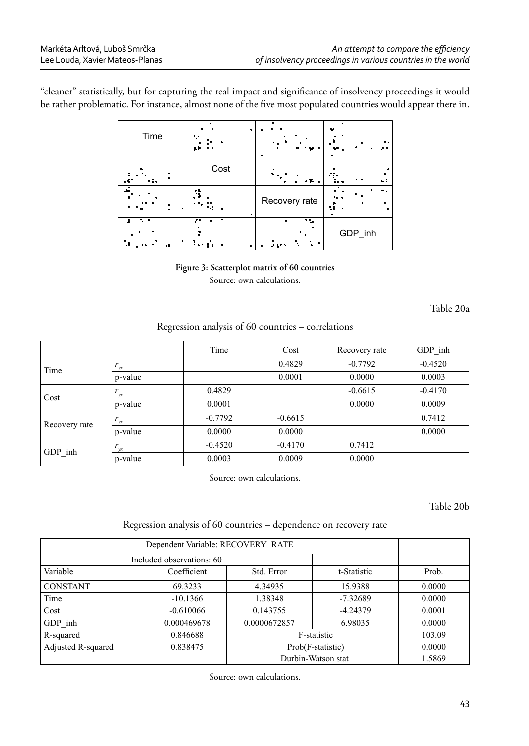"cleaner" statistically, but for capturing the real impact and significance of insolvency proceedings it would be rather problematic. For instance, almost none of the five most populated countries would appear there in.

| Time                                                            | $\overline{a}$<br>o<br>۰<br>م e<br>٠<br>தநி                    | ۰<br>o<br>o<br>$\alpha$<br>믑<br>п<br>n<br>٠<br>۰<br>58<br>œ<br>۰                                                                                  | $\alpha$<br>Ψ<br>۰<br>$\blacksquare$<br>$\blacksquare$<br>$\circ$<br>å<br>$\overline{\phantom{a}}$<br>n<br>$\overline{ }$<br>$\mathbf{a}$<br>٩e<br><b>00</b><br>$\overline{a}$ |
|-----------------------------------------------------------------|----------------------------------------------------------------|---------------------------------------------------------------------------------------------------------------------------------------------------|--------------------------------------------------------------------------------------------------------------------------------------------------------------------------------|
| ۰<br>œ<br>:<br>g<br>o<br>SB.<br>8.<br>۰                         | Cost                                                           | ۰<br>$\bullet$<br>$\begin{smallmatrix} \bullet & \circ \\ & \circ \\ & & \circ \end{smallmatrix}$ .<br>a<br>0<br>0<br>۰<br>oo<br>9 %<br>$\bullet$ | ۰<br>o<br>$\mathbf{a}$<br>ទីទី១<br>۰<br>٠.<br>$a_0$ $B$                                                                                                                        |
| $\overline{A_0}$<br>R<br>۰<br>۰<br>m<br>$\circ$<br>$\mathbf{a}$ | ំះ<br>o a<br>° 0°<br>۰<br>۰                                    | Recovery rate                                                                                                                                     | ᅃᇢ<br>$\circ$<br><b>000</b><br>۰<br>ួ <sup>0</sup> g<br>۰<br>$\mathbf{a}$<br>$\alpha$<br>$\mathbf{a}$                                                                          |
| $9 - 0$<br>å<br>۰<br>۰<br>۰<br>۰<br>٥8<br>0B                    | ۰<br>e"<br>o<br>\$<br>۰<br>å<br>$\bullet$<br>R<br>$\circ$<br>۰ | ۰<br>$0 - \frac{1}{2}$<br>$\mathbf{r}$<br>$\mathbf{a}$<br>$\bullet$<br>٠.<br>$\mathbf{P}_{\mathbf{q}_0}$<br>$\alpha$<br>a,<br>$\bullet$           | GDP_inh                                                                                                                                                                        |

**Figure 3: Scatterplot matrix of 60 countries** Source: own calculations.

Table 20a

## Regression analysis of 60 countries – correlations

|               |         | Time      | Cost      | Recovery rate | GDP inh   |
|---------------|---------|-----------|-----------|---------------|-----------|
| Time          | vx      |           | 0.4829    | $-0.7792$     | $-0.4520$ |
|               | p-value |           | 0.0001    | 0.0000        | 0.0003    |
| Cost          | r<br>vx | 0.4829    |           | $-0.6615$     | $-0.4170$ |
|               | p-value | 0.0001    |           | 0.0000        | 0.0009    |
| Recovery rate | r<br>vr | $-0.7792$ | $-0.6615$ |               | 0.7412    |
|               | p-value | 0.0000    | 0.0000    |               | 0.0000    |
| GDP inh       | r<br>vx | $-0.4520$ | $-0.4170$ | 0.7412        |           |
|               | p-value | 0.0003    | 0.0009    | 0.0000        |           |

Source: own calculations.

Table 20b

## Regression analysis of 60 countries – dependence on recovery rate

| Dependent Variable: RECOVERY RATE     |             |                   |             |        |
|---------------------------------------|-------------|-------------------|-------------|--------|
| Included observations: 60             |             |                   |             |        |
| Variable<br>Coefficient<br>Std. Error |             |                   | t-Statistic | Prob.  |
| <b>CONSTANT</b>                       | 69.3233     | 4.34935           | 15.9388     | 0.0000 |
| Time                                  | $-10.1366$  | 1.38348           | $-7.32689$  | 0.0000 |
| Cost                                  | $-0.610066$ | 0.143755          | $-4.24379$  | 0.0001 |
| GDP inh                               | 0.000469678 | 0.0000672857      | 6.98035     | 0.0000 |
| R-squared                             | 0.846688    | F-statistic       | 103.09      |        |
| Adjusted R-squared                    | 0.838475    | Prob(F-statistic) | 0.0000      |        |
|                                       | 1.5869      |                   |             |        |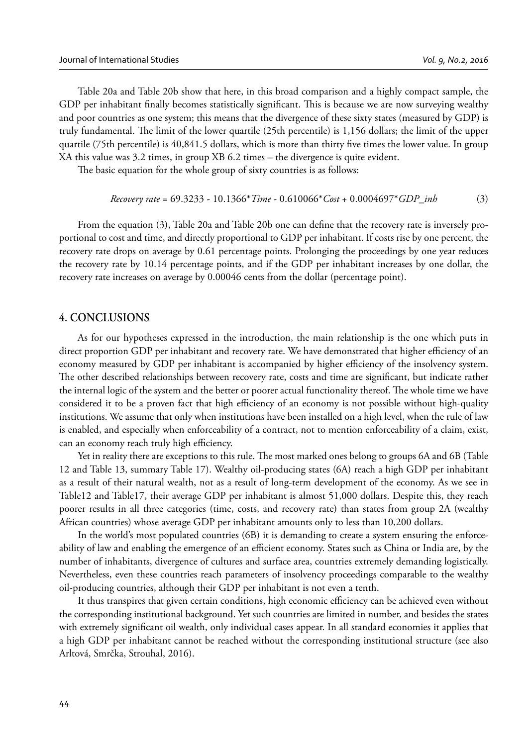Table 20a and Table 20b show that here, in this broad comparison and a highly compact sample, the GDP per inhabitant finally becomes statistically significant. This is because we are now surveying wealthy and poor countries as one system; this means that the divergence of these sixty states (measured by GDP) is truly fundamental. The limit of the lower quartile (25th percentile) is 1,156 dollars; the limit of the upper quartile (75th percentile) is  $40,841.5$  dollars, which is more than thirty five times the lower value. In group XA this value was 3.2 times, in group XB 6.2 times – the divergence is quite evident.

The basic equation for the whole group of sixty countries is as follows:

 *Recovery rate* = 69.3233 - 10.1366\**Time* - 0.610066\**Cost* + 0.0004697\**GDP\_inh* (3)

From the equation (3), Table 20a and Table 20b one can define that the recovery rate is inversely proportional to cost and time, and directly proportional to GDP per inhabitant. If costs rise by one percent, the recovery rate drops on average by 0.61 percentage points. Prolonging the proceedings by one year reduces the recovery rate by 10.14 percentage points, and if the GDP per inhabitant increases by one dollar, the recovery rate increases on average by 0.00046 cents from the dollar (percentage point).

## **4. CONCLUSIONS**

As for our hypotheses expressed in the introduction, the main relationship is the one which puts in direct proportion GDP per inhabitant and recovery rate. We have demonstrated that higher efficiency of an economy measured by GDP per inhabitant is accompanied by higher efficiency of the insolvency system. The other described relationships between recovery rate, costs and time are significant, but indicate rather the internal logic of the system and the better or poorer actual functionality thereof. The whole time we have considered it to be a proven fact that high efficiency of an economy is not possible without high-quality institutions. We assume that only when institutions have been installed on a high level, when the rule of law is enabled, and especially when enforceability of a contract, not to mention enforceability of a claim, exist, can an economy reach truly high efficiency.

Yet in reality there are exceptions to this rule. The most marked ones belong to groups 6A and 6B (Table 12 and Table 13, summary Table 17). Wealthy oil-producing states (6A) reach a high GDP per inhabitant as a result of their natural wealth, not as a result of long-term development of the economy. As we see in Table12 and Table17, their average GDP per inhabitant is almost 51,000 dollars. Despite this, they reach poorer results in all three categories (time, costs, and recovery rate) than states from group 2A (wealthy African countries) whose average GDP per inhabitant amounts only to less than 10,200 dollars.

In the world's most populated countries (6B) it is demanding to create a system ensuring the enforceability of law and enabling the emergence of an efficient economy. States such as China or India are, by the number of inhabitants, divergence of cultures and surface area, countries extremely demanding logistically. Nevertheless, even these countries reach parameters of insolvency proceedings comparable to the wealthy oil-producing countries, although their GDP per inhabitant is not even a tenth.

It thus transpires that given certain conditions, high economic efficiency can be achieved even without the corresponding institutional background. Yet such countries are limited in number, and besides the states with extremely significant oil wealth, only individual cases appear. In all standard economies it applies that a high GDP per inhabitant cannot be reached without the corresponding institutional structure (see also Arltová, Smrčka, Strouhal, 2016).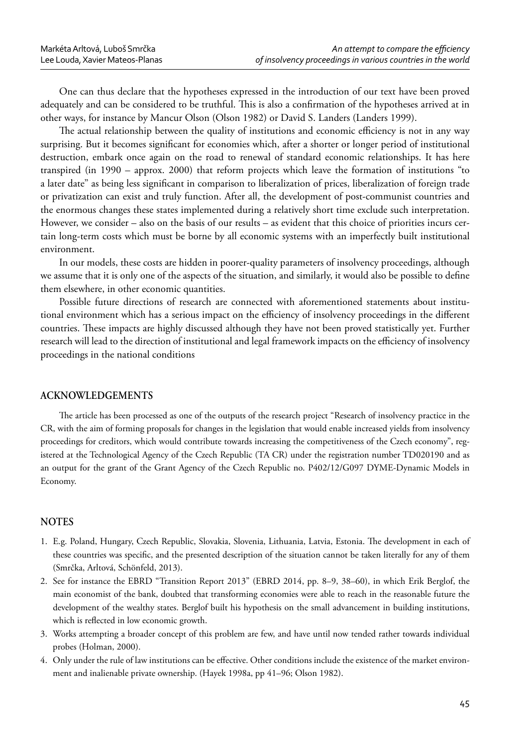One can thus declare that the hypotheses expressed in the introduction of our text have been proved adequately and can be considered to be truthful. This is also a confirmation of the hypotheses arrived at in other ways, for instance by Mancur Olson (Olson 1982) or David S. Landers (Landers 1999).

The actual relationship between the quality of institutions and economic efficiency is not in any way surprising. But it becomes significant for economies which, after a shorter or longer period of institutional destruction, embark once again on the road to renewal of standard economic relationships. It has here transpired (in 1990 – approx. 2000) that reform projects which leave the formation of institutions "to a later date" as being less significant in comparison to liberalization of prices, liberalization of foreign trade or privatization can exist and truly function. After all, the development of post-communist countries and the enormous changes these states implemented during a relatively short time exclude such interpretation. However, we consider – also on the basis of our results – as evident that this choice of priorities incurs certain long-term costs which must be borne by all economic systems with an imperfectly built institutional environment.

In our models, these costs are hidden in poorer-quality parameters of insolvency proceedings, although we assume that it is only one of the aspects of the situation, and similarly, it would also be possible to define them elsewhere, in other economic quantities.

Possible future directions of research are connected with aforementioned statements about institutional environment which has a serious impact on the efficiency of insolvency proceedings in the different countries. These impacts are highly discussed although they have not been proved statistically yet. Further research will lead to the direction of institutional and legal framework impacts on the efficiency of insolvency proceedings in the national conditions

## **ACKNOWLEDGEMENTS**

The article has been processed as one of the outputs of the research project "Research of insolvency practice in the CR, with the aim of forming proposals for changes in the legislation that would enable increased yields from insolvency proceedings for creditors, which would contribute towards increasing the competitiveness of the Czech economy", registered at the Technological Agency of the Czech Republic (TA CR) under the registration number TD020190 and as an output for the grant of the Grant Agency of the Czech Republic no. P402/12/G097 DYME-Dynamic Models in Economy.

#### **NOTES**

- 1. E.g. Poland, Hungary, Czech Republic, Slovakia, Slovenia, Lithuania, Latvia, Estonia. The development in each of these countries was specific, and the presented description of the situation cannot be taken literally for any of them (Smrčka, Arltová, Schönfeld, 2013).
- 2. See for instance the EBRD "Transition Report 2013" (EBRD 2014, pp. 8–9, 38–60), in which Erik Berglof, the main economist of the bank, doubted that transforming economies were able to reach in the reasonable future the development of the wealthy states. Berglof built his hypothesis on the small advancement in building institutions, which is reflected in low economic growth.
- 3. Works attempting a broader concept of this problem are few, and have until now tended rather towards individual probes (Holman, 2000).
- 4. Only under the rule of law institutions can be effective. Other conditions include the existence of the market environment and inalienable private ownership. (Hayek 1998a, pp 41–96; Olson 1982).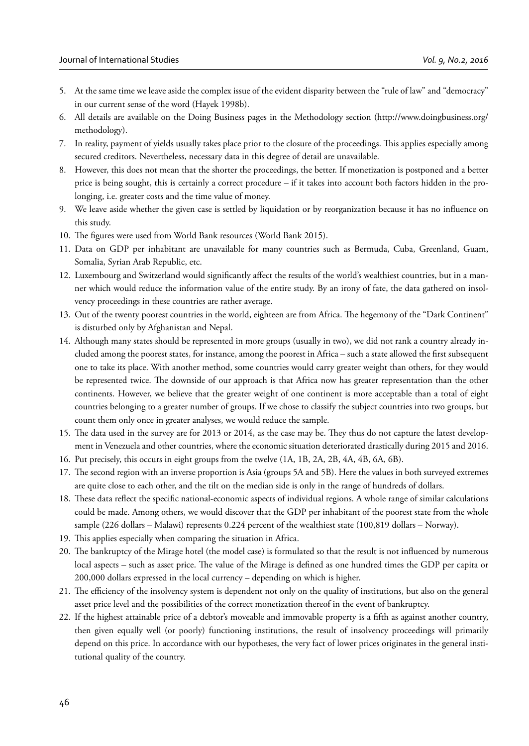- 5. At the same time we leave aside the complex issue of the evident disparity between the "rule of law" and "democracy" in our current sense of the word (Hayek 1998b).
- 6. All details are available on the Doing Business pages in the Methodology section (http://www.doingbusiness.org/ methodology).
- 7. In reality, payment of yields usually takes place prior to the closure of the proceedings. This applies especially among secured creditors. Nevertheless, necessary data in this degree of detail are unavailable.
- 8. However, this does not mean that the shorter the proceedings, the better. If monetization is postponed and a better price is being sought, this is certainly a correct procedure – if it takes into account both factors hidden in the prolonging, i.e. greater costs and the time value of money.
- 9. We leave aside whether the given case is settled by liquidation or by reorganization because it has no influence on this study.
- 10. The figures were used from World Bank resources (World Bank 2015).
- 11. Data on GDP per inhabitant are unavailable for many countries such as Bermuda, Cuba, Greenland, Guam, Somalia, Syrian Arab Republic, etc.
- 12. Luxembourg and Switzerland would significantly affect the results of the world's wealthiest countries, but in a manner which would reduce the information value of the entire study. By an irony of fate, the data gathered on insolvency proceedings in these countries are rather average.
- 13. Out of the twenty poorest countries in the world, eighteen are from Africa. The hegemony of the "Dark Continent" is disturbed only by Afghanistan and Nepal.
- 14. Although many states should be represented in more groups (usually in two), we did not rank a country already included among the poorest states, for instance, among the poorest in Africa – such a state allowed the first subsequent one to take its place. With another method, some countries would carry greater weight than others, for they would be represented twice. The downside of our approach is that Africa now has greater representation than the other continents. However, we believe that the greater weight of one continent is more acceptable than a total of eight countries belonging to a greater number of groups. If we chose to classify the subject countries into two groups, but count them only once in greater analyses, we would reduce the sample.
- 15. The data used in the survey are for 2013 or 2014, as the case may be. They thus do not capture the latest development in Venezuela and other countries, where the economic situation deteriorated drastically during 2015 and 2016.
- 16. Put precisely, this occurs in eight groups from the twelve (1A, 1B, 2A, 2B, 4A, 4B, 6A, 6B).
- 17. The second region with an inverse proportion is Asia (groups 5A and 5B). Here the values in both surveyed extremes are quite close to each other, and the tilt on the median side is only in the range of hundreds of dollars.
- 18. These data reflect the specific national-economic aspects of individual regions. A whole range of similar calculations could be made. Among others, we would discover that the GDP per inhabitant of the poorest state from the whole sample (226 dollars – Malawi) represents 0.224 percent of the wealthiest state (100,819 dollars – Norway).
- 19. This applies especially when comparing the situation in Africa.
- 20. The bankruptcy of the Mirage hotel (the model case) is formulated so that the result is not influenced by numerous local aspects – such as asset price. The value of the Mirage is defined as one hundred times the GDP per capita or 200,000 dollars expressed in the local currency – depending on which is higher.
- 21. The efficiency of the insolvency system is dependent not only on the quality of institutions, but also on the general asset price level and the possibilities of the correct monetization thereof in the event of bankruptcy.
- 22. If the highest attainable price of a debtor's moveable and immovable property is a fifth as against another country, then given equally well (or poorly) functioning institutions, the result of insolvency proceedings will primarily depend on this price. In accordance with our hypotheses, the very fact of lower prices originates in the general institutional quality of the country.